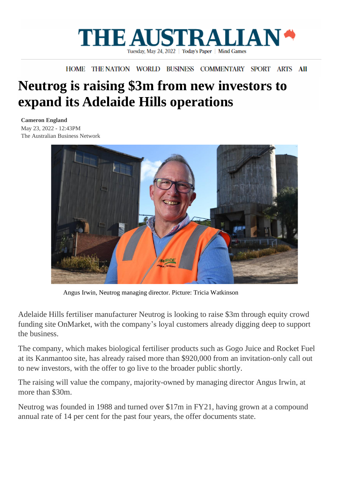## **RALIAN** THE AUST Tuesday, May 24, 2022 | Today's Paper | Mind Games

## HOME THE NATION WORLD BUSINESS COMMENTARY SPORT ARTS All

## **Neutrog is raising \$3m from new investors to expand its Adelaide Hills operations**

**[Cameron](https://www.adelaidenow.com.au/journalists/cameron-england) England** May 23, 2022 - 12:43PM The Australian Business Network



Angus Irwin, Neutrog managing director. Picture: Tricia Watkinson

Adelaide Hills fertiliser manufacturer Neutrog is looking to raise \$3m through equity crowd funding site OnMarket, with the company's loyal customers already digging deep to support the business.

The company, which makes biological fertiliser products such as Gogo Juice and Rocket Fuel at its Kanmantoo site, has already raised more than \$920,000 from an invitation-only call out to new investors, with the offer to go live to the broader public shortly.

The raising will value the company, majority-owned by managing director Angus Irwin, at more than \$30m.

Neutrog was founded in 1988 and turned over \$17m in FY21, having grown at a compound annual rate of 14 per cent for the past four years, the offer documents state.